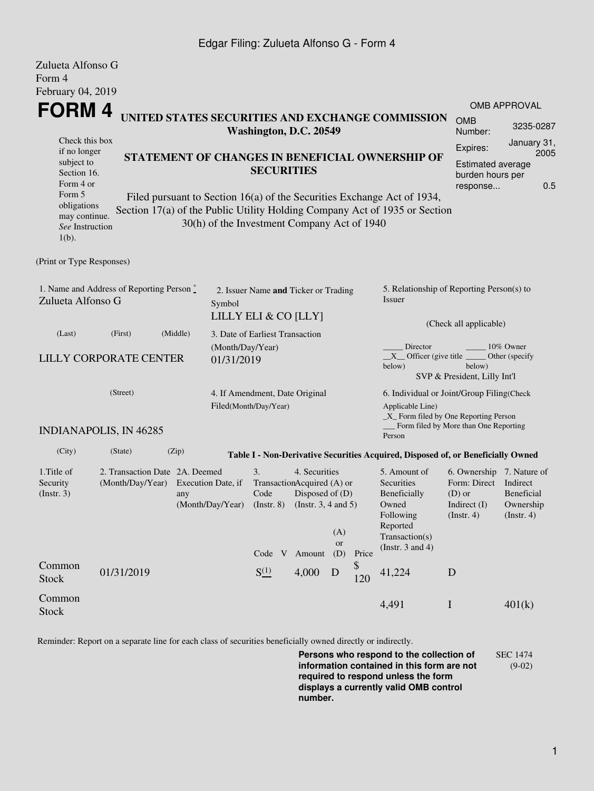## Edgar Filing: Zulueta Alfonso G - Form 4

| Zulueta Alfonso G<br>Form 4                                              |                               |                                                                                                                                                                                                      |                                                                        |                                                                                                                                |        |           |                                                                              |                                                                                                           |                                                    |                                                                                                    |  |  |
|--------------------------------------------------------------------------|-------------------------------|------------------------------------------------------------------------------------------------------------------------------------------------------------------------------------------------------|------------------------------------------------------------------------|--------------------------------------------------------------------------------------------------------------------------------|--------|-----------|------------------------------------------------------------------------------|-----------------------------------------------------------------------------------------------------------|----------------------------------------------------|----------------------------------------------------------------------------------------------------|--|--|
| February 04, 2019                                                        |                               |                                                                                                                                                                                                      |                                                                        |                                                                                                                                |        |           |                                                                              |                                                                                                           |                                                    |                                                                                                    |  |  |
| FORM 4                                                                   |                               |                                                                                                                                                                                                      |                                                                        |                                                                                                                                |        |           |                                                                              |                                                                                                           |                                                    | <b>OMB APPROVAL</b>                                                                                |  |  |
|                                                                          |                               | UNITED STATES SECURITIES AND EXCHANGE COMMISSION<br>Washington, D.C. 20549                                                                                                                           |                                                                        |                                                                                                                                |        |           |                                                                              |                                                                                                           | <b>OMB</b><br>Number:                              | 3235-0287                                                                                          |  |  |
| Check this box<br>if no longer<br>subject to<br>Section 16.<br>Form 4 or |                               | STATEMENT OF CHANGES IN BENEFICIAL OWNERSHIP OF<br><b>SECURITIES</b>                                                                                                                                 |                                                                        |                                                                                                                                |        |           |                                                                              |                                                                                                           |                                                    | January 31,<br>Expires:<br>2005<br><b>Estimated average</b><br>burden hours per<br>0.5<br>response |  |  |
| Form 5<br>obligations<br>may continue.<br>See Instruction<br>$1(b)$ .    |                               | Filed pursuant to Section 16(a) of the Securities Exchange Act of 1934,<br>Section 17(a) of the Public Utility Holding Company Act of 1935 or Section<br>30(h) of the Investment Company Act of 1940 |                                                                        |                                                                                                                                |        |           |                                                                              |                                                                                                           |                                                    |                                                                                                    |  |  |
| (Print or Type Responses)                                                |                               |                                                                                                                                                                                                      |                                                                        |                                                                                                                                |        |           |                                                                              |                                                                                                           |                                                    |                                                                                                    |  |  |
| 1. Name and Address of Reporting Person*<br>Zulueta Alfonso G            |                               |                                                                                                                                                                                                      | 2. Issuer Name and Ticker or Trading<br>Symbol<br>LILLY ELI & CO [LLY] |                                                                                                                                |        |           |                                                                              | 5. Relationship of Reporting Person(s) to<br>Issuer<br>(Check all applicable)                             |                                                    |                                                                                                    |  |  |
| (Last)                                                                   | (First)                       | (Middle)                                                                                                                                                                                             | 3. Date of Earliest Transaction                                        |                                                                                                                                |        |           |                                                                              |                                                                                                           |                                                    |                                                                                                    |  |  |
|                                                                          | <b>LILLY CORPORATE CENTER</b> |                                                                                                                                                                                                      | (Month/Day/Year)<br>01/31/2019                                         |                                                                                                                                |        |           |                                                                              | Director<br>$X$ Officer (give title $\overline{\phantom{a}}$<br>below)                                    | below)<br>SVP & President, Lilly Int'l             | 10% Owner<br>Other (specify                                                                        |  |  |
| (Street)                                                                 |                               |                                                                                                                                                                                                      |                                                                        | 4. If Amendment, Date Original<br>Filed(Month/Day/Year)                                                                        |        |           |                                                                              | 6. Individual or Joint/Group Filing(Check<br>Applicable Line)<br>$\_X$ Form filed by One Reporting Person |                                                    |                                                                                                    |  |  |
|                                                                          | <b>INDIANAPOLIS, IN 46285</b> |                                                                                                                                                                                                      |                                                                        |                                                                                                                                |        |           |                                                                              | Person                                                                                                    | Form filed by More than One Reporting              |                                                                                                    |  |  |
| (City)                                                                   | (State)                       | (Zip)                                                                                                                                                                                                |                                                                        |                                                                                                                                |        |           |                                                                              | Table I - Non-Derivative Securities Acquired, Disposed of, or Beneficially Owned                          |                                                    |                                                                                                    |  |  |
| 1. Title of<br>Security<br>(Insert. 3)                                   |                               | 2. Transaction Date 2A. Deemed<br>(Month/Day/Year)<br>Execution Date, if<br>any<br>(Month/Day/Year)                                                                                                  |                                                                        | 3.<br>4. Securities<br>TransactionAcquired (A) or<br>Disposed of (D)<br>Code<br>$($ Instr. $8)$<br>(Insert. 3, 4 and 5)<br>(A) |        |           | 5. Amount of<br>Securities<br>Beneficially<br>Owned<br>Following<br>Reported | 6. Ownership 7. Nature of<br>Form: Direct<br>$(D)$ or<br>Indirect $(I)$<br>(Insert. 4)                    | Indirect<br>Beneficial<br>Ownership<br>(Insert. 4) |                                                                                                    |  |  |
|                                                                          |                               |                                                                                                                                                                                                      |                                                                        | Code V                                                                                                                         | Amount | or<br>(D) | Price                                                                        | Transaction(s)<br>(Instr. $3$ and $4$ )                                                                   |                                                    |                                                                                                    |  |  |
| Common<br><b>Stock</b>                                                   | 01/31/2019                    |                                                                                                                                                                                                      |                                                                        | $S^{(1)}_{-}$                                                                                                                  | 4,000  | D         | \$<br>120                                                                    | 41,224                                                                                                    | D                                                  |                                                                                                    |  |  |
| Common<br><b>Stock</b>                                                   |                               |                                                                                                                                                                                                      |                                                                        |                                                                                                                                |        |           |                                                                              | 4,491                                                                                                     | $\bf I$                                            | 401(k)                                                                                             |  |  |

Reminder: Report on a separate line for each class of securities beneficially owned directly or indirectly.

**Persons who respond to the collection of information contained in this form are not required to respond unless the form displays a currently valid OMB control number.** SEC 1474 (9-02)